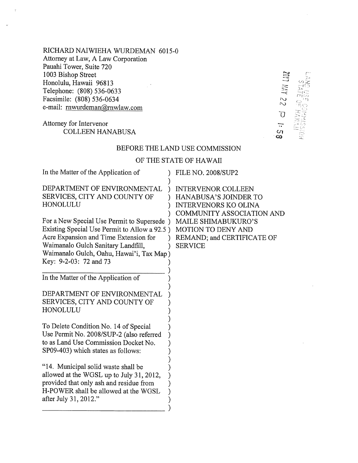RICHARD NAIWIEHA WURDEMAN 6015-0 Attorney at Law, A Law Corporation Pauahi Tower, Suite 720 1003 Bishop Street Honolulu, Hawaii 96813 Telephone: (808) 536-0633 Facsimile: (808) 536-0634 e-mail: mwurdeman@rnwlaw.com

# Attorney for Intervenor **COLLEEN HANABUSA**

# 22 YAN TIM  $\overline{O}$  $\frac{11}{2}$  $\infty$

#### BEFORE THE LAND USE COMMISSION

## OF THE STATE OF HAWAII

| In the Matter of the Application of                                                                                                                                                                                                              | <b>FILE NO. 2008/SUP2</b>                                                                                             |
|--------------------------------------------------------------------------------------------------------------------------------------------------------------------------------------------------------------------------------------------------|-----------------------------------------------------------------------------------------------------------------------|
| DEPARTMENT OF ENVIRONMENTAL<br>SERVICES, CITY AND COUNTY OF<br>HONOLULU                                                                                                                                                                          | <b>INTERVENOR COLLEEN</b><br><b>HANABUSA'S JOINDER TO</b><br><b>INTERVENORS KO OLINA</b><br>COMMUNITY ASSOCIATION AND |
| For a New Special Use Permit to Supersede )<br>Existing Special Use Permit to Allow a 92.5)<br>Acre Expansion and Time Extension for<br>Waimanalo Gulch Sanitary Landfill,<br>Waimanalo Gulch, Oahu, Hawai'i, Tax Map)<br>Key: 9-2-03: 72 and 73 | <b>MAILE SHIMABUKURO'S</b><br><b>MOTION TO DENY AND</b><br>REMAND; and CERTIFICATE OF<br><b>SERVICE</b>               |
| In the Matter of the Application of                                                                                                                                                                                                              |                                                                                                                       |
| DEPARTMENT OF ENVIRONMENTAL<br>SERVICES, CITY AND COUNTY OF<br>HONOLULU                                                                                                                                                                          |                                                                                                                       |
| To Delete Condition No. 14 of Special<br>Use Permit No. 2008/SUP-2 (also referred<br>to as Land Use Commission Docket No.<br>SP09-403) which states as follows:                                                                                  |                                                                                                                       |
| "14. Municipal solid waste shall be<br>allowed at the WGSL up to July 31, 2012,<br>provided that only ash and residue from<br>H-POWER shall be allowed at the WGSL<br>after July 31, 2012."                                                      |                                                                                                                       |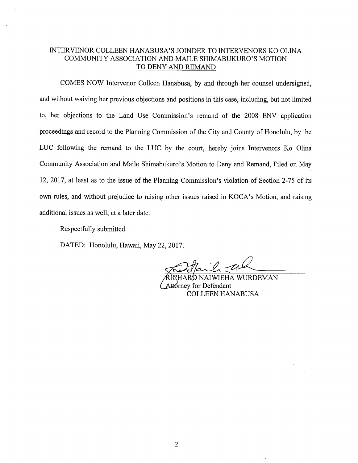#### INTERVENOR COLLEEN HANABUSA'S JOINDER TO INTERVENORS KO OLINA COMMUNITY ASSOCIATION AND MAILE SHIMABUKURO'S MOTION TO DENY AND REMAND

COMES NOW Intervenor Colleen Hanabusa, by and through her counsel undersigned, and without waiving her previous objections and positions in this case, including, but not limited to, her objections to the Land Use Commission's remand of the 2008 ENV application proceedings and record to the Planning Commission of the City and County of Honolulu, by the LUC following the remand to the LUC by the court, hereby joins Intervenors Ko Olina Community Association and Maile Shimabukuro's Motion to Deny and Remand, Filed on May 12, 2017, at least as to the issue of the Planning Commission's violation of Section 2-75 of its own rules, and without prejudice to raising other issues raised in KOCA's Motion, and raising additional issues as well, at a later date.

Respectfully submitted.

DATED: Honolulu, Hawaii, May 22, 2017.

HARD NAIWIEHA WURDEMAN Attorney for Defendant COLLEEN HANABUSA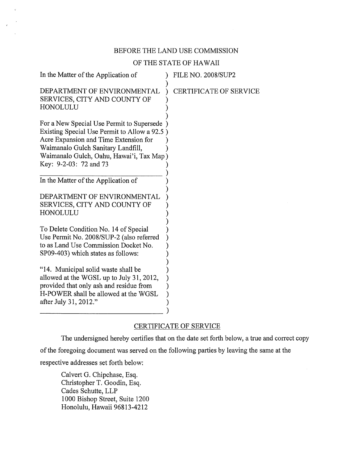#### BEFORE THE LAND USE COMMISSION

#### OF THE STATE OF HAWAII

| In the Matter of the Application of                                                                                                                                                                                                            |                               |
|------------------------------------------------------------------------------------------------------------------------------------------------------------------------------------------------------------------------------------------------|-------------------------------|
| DEPARTMENT OF ENVIRONMENTAL<br>SERVICES, CITY AND COUNTY OF<br>HONOLULU                                                                                                                                                                        | <b>CERTIFICATE OF SERVICE</b> |
| For a New Special Use Permit to Supersede<br>Existing Special Use Permit to Allow a 92.5)<br>Acre Expansion and Time Extension for<br>Waimanalo Gulch Sanitary Landfill,<br>Waimanalo Gulch, Oahu, Hawai'i, Tax Map)<br>Key: 9-2-03: 72 and 73 |                               |
| In the Matter of the Application of                                                                                                                                                                                                            |                               |
| DEPARTMENT OF ENVIRONMENTAL<br>SERVICES, CITY AND COUNTY OF<br>HONOLULU                                                                                                                                                                        |                               |
| To Delete Condition No. 14 of Special<br>Use Permit No. 2008/SUP-2 (also referred<br>to as Land Use Commission Docket No.<br>SP09-403) which states as follows:                                                                                |                               |
| "14. Municipal solid waste shall be<br>allowed at the WGSL up to July 31, 2012,<br>provided that only ash and residue from<br>H-POWER shall be allowed at the WGSL<br>after July 31, 2012."                                                    |                               |

### CERTIFICATE OF SERVICE

The undersigned hereby certifies that on the date set forth below, a true and correct copy of the foregoing document was served on the following parties by leaving the same at the respective addresses set forth below:

Calvert G. Chipchase, Esq. Christopher T. Goodin, Esq. Cades Schutte, LLP 1000 Bishop Street, Suite 1200 Honolulu, Hawaii 96813-4212

ł.